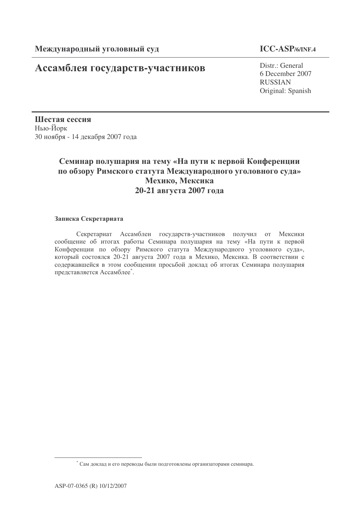# Ассамблея государств-участников

## **ICC-ASP/6/INF.4**

Distr.: General 6 December 2007 RUSSIAN Original: Spanish

Шестая сессия Нью-Йорк 30 ноября - 14 декабря 2007 года

## Семинар полушария на тему «На пути к первой Конференции по обзору Римского статута Международного уголовного суда» Мехико, Мексика **20-21 2007**

### Записка Секретариата

Секретариат Ассамблеи государств-участников получил от Мексики сообщение об итогах работы Семинара полушария на тему «На пути к первой Конференции по обзору Римского статута Международного уголовного суда», который состоялся 20-21 августа 2007 года в Мехико, Мексика. В соответствии с содержавшейся в этом сообщении просьбой доклад об итогах Семинара полушария представляется Ассамблее\*.

 $^*$  Сам доклад и его переводы были подготовлены организаторами семинара.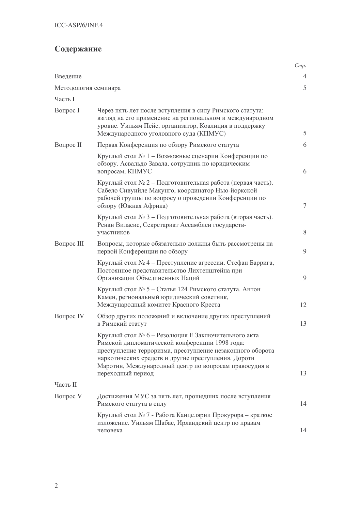# Содержание

|                      |                                                                                                                                                                                                                                                                                    | Cmp.           |
|----------------------|------------------------------------------------------------------------------------------------------------------------------------------------------------------------------------------------------------------------------------------------------------------------------------|----------------|
| Введение             |                                                                                                                                                                                                                                                                                    | 4              |
| Методология семинара |                                                                                                                                                                                                                                                                                    | 5              |
| Часть I              |                                                                                                                                                                                                                                                                                    |                |
| Вопрос I             | Через пять лет после вступления в силу Римского статута:<br>взгляд на его применение на региональном и международном<br>уровне. Уильям Пейс, организатор, Коалиция в поддержку<br>Международного уголовного суда (КПМУС)                                                           | 5              |
| Вопрос II            | Первая Конференция по обзору Римского статута                                                                                                                                                                                                                                      | 6              |
|                      | Круглый стол № 1 - Возможные сценарии Конференции по<br>обзору. Асвальдо Завала, сотрудник по юридическим<br>вопросам, КПМУС                                                                                                                                                       | 6              |
|                      | Круглый стол № 2 - Подготовительная работа (первая часть).<br>Сабело Сивуийле Макунго, координатор Нью-йоркской<br>рабочей группы по вопросу о проведении Конференции по<br>обзору (Южная Африка)                                                                                  | $\overline{7}$ |
|                      | Круглый стол № 3 - Подготовительная работа (вторая часть).<br>Ренан Виласис, Секретариат Ассамблеи государств-<br>участников                                                                                                                                                       | 8              |
| Вопрос III           | Вопросы, которые обязательно должны быть рассмотрены на<br>первой Конференции по обзору                                                                                                                                                                                            | 9              |
|                      | Круглый стол № 4 - Преступление агрессии. Стефан Баррига,<br>Постоянное представительство Лихтенштейна при<br>Организации Объединенных Наций                                                                                                                                       | 9              |
|                      | Круглый стол № 5 - Статья 124 Римского статута. Антон<br>Камен, региональный юридический советник,<br>Международный комитет Красного Креста                                                                                                                                        | 12             |
| <b>Вопрос IV</b>     | Обзор других положений и включение других преступлений<br>в Римский статут                                                                                                                                                                                                         | 13             |
|                      | Круглый стол № 6 - Резолюция Е Заключительного акта<br>Римской дипломатической конференции 1998 года:<br>преступление терроризма, преступление незаконного оборота<br>наркотических средств и другие преступления. Дороти<br>Маротин, Международный центр по вопросам правосудия в |                |
|                      | переходный период                                                                                                                                                                                                                                                                  | 13             |
| Часть II             |                                                                                                                                                                                                                                                                                    |                |
| <b>Вопрос V</b>      | Достижения МУС за пять лет, прошедших после вступления<br>Римского статута в силу                                                                                                                                                                                                  |                |
|                      | Круглый стол № 7 - Работа Канцелярии Прокурора - краткое<br>изложение. Уильям Шабас, Ирландский центр по правам<br>человека                                                                                                                                                        | 14             |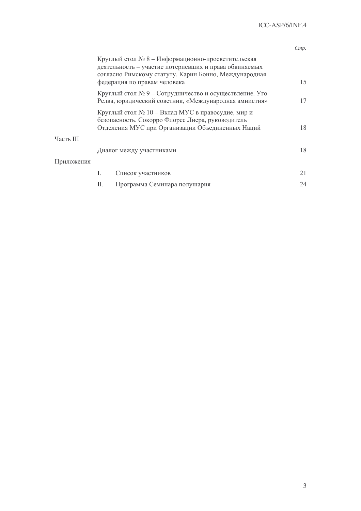|            |                                                                                                                                                                                                     |                                                                                                                 | Cmp. |
|------------|-----------------------------------------------------------------------------------------------------------------------------------------------------------------------------------------------------|-----------------------------------------------------------------------------------------------------------------|------|
|            | Круглый стол № 8 - Информационно-просветительская<br>деятельность - участие потерпевших и права обвиняемых<br>согласно Римскому статуту. Карин Бонно, Международная<br>федерация по правам человека |                                                                                                                 |      |
|            |                                                                                                                                                                                                     | Круглый стол № 9 – Сотрудничество и осуществление. Уго<br>Релва, юридический советник, «Международная амнистия» | 17   |
|            | Круглый стол № 10 – Вклад МУС в правосудие, мир и<br>безопасность. Сокорро Флорес Лиера, руководитель<br>Отделения МУС при Организации Объединенных Наций                                           |                                                                                                                 |      |
| Часть III  |                                                                                                                                                                                                     |                                                                                                                 |      |
|            | Диалог между участниками                                                                                                                                                                            |                                                                                                                 |      |
| Приложения |                                                                                                                                                                                                     |                                                                                                                 |      |
|            | Ι.                                                                                                                                                                                                  | Список участников                                                                                               | 21   |
|            | П.                                                                                                                                                                                                  | Программа Семинара полушария                                                                                    | 24   |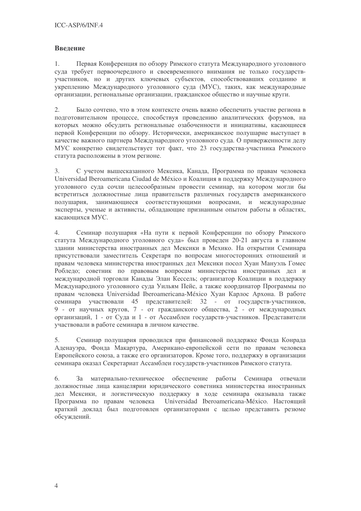### Введение

 $1.$ Первая Конференция по обзору Римского статута Международного уголовного суда требует первоочередного и своевременного внимания не только государствучастников, но и других ключевых субъектов, способствовавших созданию и укреплению Международного уголовного суда (МУС), таких, как международные организации, региональные организации, гражданское общество и научные круги.

Было сочтено, что в этом контексте очень важно обеспечить участие региона в 2. подготовительном процессе, способствуя проведению аналитических форумов, на которых можно обсудить региональные озабоченности и инициативы, касающиеся первой Конференции по обзору. Исторически, американское полушарие выступает в качестве важного партнера Международного уголовного суда. О приверженности делу МУС конкретно свидетельствует тот факт, что 23 государства-участника Римского статута расположены в этом регионе.

 $\mathfrak{Z}$ . С учетом вышесказанного Мексика, Канада, Программа по правам человека Universidad Iberoamericana Ciudad de México и Коалиция в поддержку Международного уголовного суда сочли целесообразным провести семинар, на котором могли бы встретиться должностные лица правительств различных государств американского полушария, занимающиеся соответствующими вопросами, и международные эксперты, ученые и активисты, обладающие признанным опытом работы в областях, касающихся МУС.

 $\overline{4}$ . Семинар полушария «На пути к первой Конференции по обзору Римского статута Международного уголовного суда» был проведен 20-21 августа в главном здании министерства иностранных дел Мексики в Мехико. На открытии Семинара присутствовали заместитель Секретаря по вопросам многосторонних отношений и правам человека министерства иностранных дел Мексики посол Хуан Мануэль Гомес Робледо: советник по правовым вопросам министерства иностранных дел и международной торговли Канады Элан Кессель; организатор Коалиции в поддержку Международного уголовного суда Уильям Пейс, а также координатор Программы по правам человека Universidad Iberoamericana-México Хуан Карлос Архона. В работе семинара участвовали 45 представителей: 32 - от государств-участников, 9 - от научных кругов, 7 - от гражданского общества, 2 - от международных организаций, 1 - от Суда и 1 - от Ассамблеи государств-участников. Представители участвовали в работе семинара в личном качестве.

Семинар полушария проводился при финансовой поддержке Фонда Конрада 5. Аденауэра, Фонда Макартура, Американо-европейской сети по правам человека Европейского союза, а также его организаторов. Кроме того, поддержку в организации семинара оказал Секретариат Ассамблеи государств-участников Римского статута.

 $6.$ За материально-техническое обеспечение работы Семинара отвечали должностные лица канцелярии юридического советника министерства иностранных дел Мексики, и логистическую поддержку в ходе семинара оказывала также Программа по правам человека Universidad Iberoamericana-México. Настоящий краткий доклад был подготовлен организаторами с целью представить резюме обсуждений.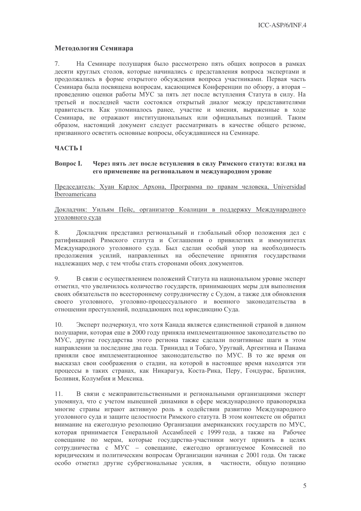### Методология Семинара

 $7.$ На Семинаре полушария было рассмотрено пять общих вопросов в рамках лесяти круглых столов, которые начинались с представления вопроса экспертами и продолжались в форме открытого обсуждения вопроса участниками. Первая часть Семинара была посвящена вопросам, касающимся Конференции по обзору, а вторая проведению оценки работы МУС за пять лет после вступления Статута в силу. На третьей и последней части состоялся открытый диалог между представителями правительств. Как упоминалось ранее, участие и мнения, выраженные в ходе Семинара, не отражают институциональных или официальных позиций. Таким образом, настоящий документ следует рассматривать в качестве общего резюме, призванного осветить основные вопросы, обсуждавшиеся на Семинаре.

### **ЧАСТЬ І**

#### **Вопрос I.** Через пять лет после вступления в силу Римского статута: взгляд на его применение на региональном и международном уровне

Председатель: Хуан Карлос Архона, Программа по правам человека, Universidad Iberoamericana

Локладчик: Уильям Пейс, организатор Коалиции в поддержку Международного уголовного суда

Докладчик представил региональный и глобальный обзор положения дел с 8. ратификацией Римского статута и Соглашения о привилегиях и иммунитетах Международного уголовного суда. Был сделан особый упор на необходимость продолжения усилий, направленных на обеспечение принятия государствами наллежаших мер, с тем чтобы стать сторонами обоих локументов.

9. В связи с осуществлением положений Статута на национальном уровне эксперт отметил, что увеличилось количество государств, принимающих меры для выполнения своих обязательств по всестороннему сотрудничеству с Судом, а также для обновления своего уголовного, уголовно-процессуального и военного законодательства в отношении преступлений, подпадающих под юрисдикцию Суда.

Эксперт полчеркнул, что хотя Канала является елинственной страной в ланном  $10.$ полушарии, которая еще в 2000 голу приняла имплементационное законолательство по МУС, другие государства этого региона также сделали позитивные шаги в этом направлении за последние два года. Тринидад и Тобаго, Уругвай, Аргентина и Панама приняли свое имплементационное законодательство по МУС. В то же время он высказал свои соображения о стадии, на которой в настоящее время находятся эти процессы в таких странах, как Никарагуа, Коста-Рика, Перу, Гондурас, Бразилия, Боливия. Колумбия и Мексика.

В связи с межправительственными и региональными организациями эксперт  $11.$ упомянул, что с учетом нынешней динамики в сфере международного правопорядка многие страны играют активную роль в содействии развитию Международного уголовного суда и защите целостности Римского статута. В этом контексте он обратил внимание на ежегодную резолюцию Организации американских государств по МУС, которая принимается Генеральной Ассамблеей с 1999 года, а также на Рабочее совещание по мерам, которые государства-участники могут принять в целях сотрудничества с МУС - совещание, ежегодно организуемое Комиссией по юридическим и политическим вопросам Организации начиная с 2001 года. Он также особо отметил другие субрегиональные усилия, в частности, общую позицию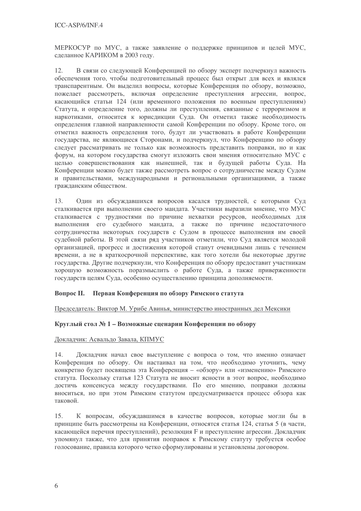МЕРКОСУР по МУС, а также заявление о поддержке принципов и целей МУС, сделанное КАРИКОМ в 2003 году.

 $12.$ В связи со следующей Конференцией по обзору эксперт подчеркнул важность обеспечения того, чтобы подготовительный процесс был открыт для всех и являлся транспарентным. Он выделил вопросы, которые Конференция по обзору, возможно, пожелает рассмотреть, включая определение преступления агрессии, вопрос, касающийся статьи 124 (или временного положения по военным преступлениям) Статута, и определение того, должны ли преступления, связанные с терроризмом и наркотиками, относится к юрисдикции Суда. Он отметил также необходимость определения главной направленности самой Конференции по обзору. Кроме того, он отметил важность определения того, будут ли участвовать в работе Конференции государства, не являющиеся Сторонами, и подчеркнул, что Конференцию по обзору следует рассматривать не только как возможность представить поправки, но и как форум, на котором государства смогут изложить свои мнения относительно МУС с целью совершенствования как нынешней, так и будущей работы Суда. На Конференции можно будет также рассмотреть вопрос о сотрудничестве между Судом и правительствами, международными и региональными организациями, а также гражданским обществом.

Один из обсуждавшихся вопросов касался трудностей, с которыми Суд 13. сталкивается при выполнении своего мандата. Участники выразили мнение, что МУС сталкивается с трудностями по причине нехватки ресурсов, необходимых для выполнения его судебного мандата, а также по причине недостаточного сотрудничества некоторых государств с Судом в процессе выполнения им своей судебной работы. В этой связи ряд участников отметили, что Суд является молодой организацией, прогресс и достижения которой станут очевидными лишь с течением времени, а не в краткосрочной перспективе, как того хотели бы некоторые другие государства. Другие подчеркнули, что Конференция по обзору предоставит участникам хорошую возможность поразмыслить о работе Суда, а также приверженности государств целям Суда, особенно осуществлению принципа дополняемости.

### Вопрос II. Первая Конференция по обзору Римского статута

### Председатель: Виктор М. Урибе Авинья, министерство иностранных дел Мексики

### Круглый стол № 1 – Возможные сценарии Конференции по обзору

### Докладчик: Асвальдо Завала, КПМУС

Докладчик начал свое выступление с вопроса о том, что именно означает 14. Конференция по обзору. Он настаивал на том, что необходимо уточнить, чему конкретно будет посвящена эта Конференция - «обзору» или «изменению» Римского статута. Поскольку статья 123 Статута не вносит ясности в этот вопрос, необходимо достичь консенсуса между государствами. По его мнению, поправки должны вноситься, но при этом Римским статутом предусматривается процесс обзора как таковой.

К вопросам, обсуждавшимся в качестве вопросов, которые могли бы в  $15$ принципе быть рассмотрены на Конференции, относятся статья 124, статья 5 (в части, касающейся перечня преступлений), резолюция F и преступление агрессии. Докладчик упомянул также, что для принятия поправок к Римскому статуту требуется особое голосование, правила которого четко сформулированы и установлены договором.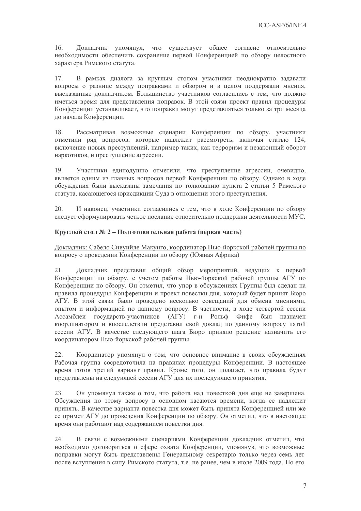16. Докладчик упомянул, что существует общее согласие относительно необходимости обеспечить сохранение первой Конференцией по обзору целостного характера Римского статута.

17. В рамках диалога за круглым столом участники неоднократно задавали вопросы о разнице между поправками и обзором и в целом поддержали мнения, высказанные докладчиком. Большинство участников согласились с тем, что должно иметься время для представления поправок. В этой связи проект правил процедуры Конференции устанавливает, что поправки могут представляться только за три месяца до начала Конференции.

18. Рассматривая возможные сценарии Конференции по обзору, участники отметили ряд вопросов, которые надлежит рассмотреть, включая статью 124, включение новых преступлений, например таких, как терроризм и незаконный оборот наркотиков, и преступление агрессии.

Участники единодушно отметили, что преступление агрессии, очевидно,  $19.$ является одним из главных вопросов первой Конференции по обзору. Однако в ходе обсуждения были высказаны замечания по толкованию пункта 2 статьи 5 Римского статута, касающегося юрисдикции Суда в отношении этого преступления.

20. И наконец, участники согласились с тем, что в ходе Конференции по обзору следует сформулировать четкое послание относительно поддержки деятельности МУС.

### Круглый стол № 2 – Подготовительная работа (первая часть)

### Докладчик: Сабело Сивуийле Макунго, координатор Нью-йоркской рабочей группы по вопросу о проведении Конференции по обзору (Южная Африка)

Докладчик представил общий обзор мероприятий, ведущих к первой 21. Конференции по обзору, с учетом работы Нью-йоркской рабочей группы АГУ по Конференции по обзору. Он отметил, что упор в обсуждениях Группы был сделан на правила процедуры Конференции и проект повестки дня, который будет принят Бюро АГУ. В этой связи было проведено несколько совещаний для обмена мнениями, опытом и информацией по данному вопросу. В частности, в ходе четвертой сессии Ассамблеи государств-участников (АГУ) г-н Рольф Фифе был назначен координатором и впоследствии представил свой доклад по данному вопросу пятой сессии АГУ. В качестве следующего шага Бюро приняло решение назначить его координатором Нью-йоркской рабочей группы.

Координатор упомянул о том, что основное внимание в своих обсуждениях 22. Рабочая группа сосредоточила на правилах процедуры Конференции. В настоящее время готов третий вариант правил. Кроме того, он полагает, что правила будут представлены на следующей сессии АГУ для их последующего принятия.

23. Он упомянул также о том, что работа над повесткой дня еще не завершена. Обсуждения по этому вопросу в основном касаются времени, когда ее надлежит принять. В качестве варианта повестка дня может быть принята Конференцией или же ее примет АГУ до проведения Конференции по обзору. Он отметил, что в настоящее время они работают над содержанием повестки дня.

24. В связи с возможными сценариями Конференции докладчик отметил, что необходимо договориться о сфере охвата Конференции, упомянув, что возможные поправки могут быть представлены Генеральному секретарю только через семь лет после вступления в силу Римского статута, т.е. не ранее, чем в июле 2009 года. По его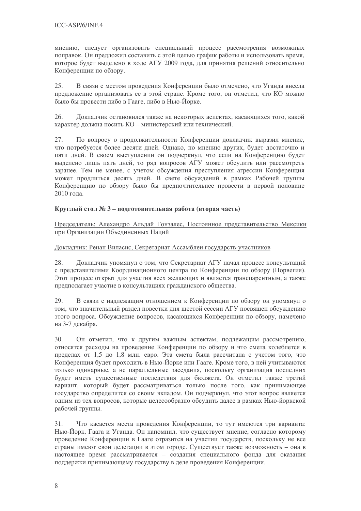мнению, следует организовать специальный процесс рассмотрения возможных поправок. Он предложил составить с этой целью график работы и использовать время, которое будет выделено в ходе AГУ 2009 года, для принятия решений относительно Конференции по обзору.

В связи с местом проведения Конференции было отмечено, что Уганда внесла 25. предложение организовать ее в этой стране. Кроме того, он отметил, что КО можно было бы провести либо в Гааге, либо в Нью-Йорке.

26. Докладчик остановился также на некоторых аспектах, касающихся того, какой характер должна носить КО - министерский или технический.

27. По вопросу о продолжительности Конференции докладчик выразил мнение, что потребуется более десяти дней. Однако, по мнению других, будет достаточно и пяти дней. В своем выступлении он подчеркнул, что если на Конференцию будет выделено лишь пять дней, то ряд вопросов АГУ может обсудить или рассмотреть заранее. Тем не менее, с учетом обсуждения преступления агрессии Конференция может продлиться десять дней. В свете обсуждений в рамках Рабочей группы Конференцию по обзору было бы предпочтительнее провести в первой половине 2010 года.

### Круглый стол № 3 – подготовительная работа (вторая часть)

Председатель: Алехандро Альдай Гонзалес, Постоянное представительство Мексики при Организации Объединенных Наций

### Докладчик: Ренан Виласис, Секретариат Ассамблеи государств-участников

28. Докладчик упомянул о том, что Секретариат АГУ начал процесс консультаций с представителями Координационного центра по Конференции по обзору (Норвегия). Этот процесс открыт для участия всех желающих и является транспарентным, а также предполагает участие в консультациях гражданского общества.

В связи с надлежащим отношением к Конференции по обзору он упомянул о 29. том, что значительный раздел повестки дня шестой сессии АГУ посвящен обсуждению этого вопроса. Обсуждение вопросов, касающихся Конференции по обзору, намечено на 3-7 декабря.

Он отметил, что к другим важным аспектам, подлежащим рассмотрению,  $30.$ относятся расходы на проведение Конференции по обзору и что смета колеблется в пределах от 1,5 до 1,8 млн. евро. Эта смета была рассчитана с учетом того, что Конференция будет проходить в Нью-Йорке или Гааге. Кроме того, в ней учитываются только одинарные, а не параллельные заседания, поскольку организация последних будет иметь существенные последствия для бюджета. Он отметил также третий вариант, который будет рассматриваться только после того, как принимающее государство определится со своим вкладом. Он подчеркнул, что этот вопрос является одним из тех вопросов, которые целесообразно обсудить далее в рамках Нью-йоркской рабочей группы.

Что касается места проведения Конференции, то тут имеются три варианта:  $31.$ Нью-Йорк, Гаага и Уганда. Он напомнил, что существует мнение, согласно которому проведение Конференции в Гааге отразится на участии государств, поскольку не все страны имеют свои делегации в этом городе. Существует также возможность - она в настоящее время рассматривается - создания специального фонда для оказания поддержки принимающему государству в деле проведения Конференции.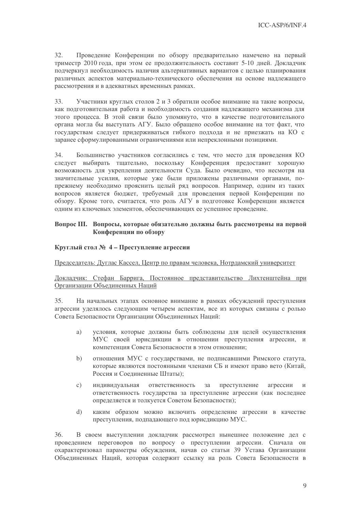32. Проведение Конференции по обзору предварительно намечено на первый триместр 2010 года, при этом ее продолжительность составит 5-10 дней. Докладчик подчеркнул необходимость наличия альтернативных вариантов с целью планирования различных аспектов материально-технического обеспечения на основе надлежащего рассмотрения и в адекватных временных рамках.

33. Участники круглых столов 2 и 3 обратили особое внимание на такие вопросы, как подготовительная работа и необходимость создания надлежащего механизма для этого процесса. В этой связи было упомянуто, что в качестве подготовительного органа могла бы выступать АГУ. Было обращено особое внимание на тот факт, что государствам следует придерживаться гибкого подхода и не приезжать на КО с заранее сформулированными ограничениями или непреклонными позициями.

34. Большинство участников согласились с тем, что место для проведения КО следует выбирать тщательно, поскольку Конференция предоставит хорошую возможность для укрепления деятельности Суда. Было очевидно, что несмотря на значительные усилия, которые уже были приложены различными органами, попрежнему необходимо прояснить целый ряд вопросов. Например, одним из таких вопросов является бюджет, требуемый для проведения первой Конференции по обзору. Кроме того, считается, что роль АГУ в подготовке Конференции является одним из ключевых элементов, обеспечивающих ее успешное проведение.

### Вопрос III. Вопросы, которые обязательно должны быть рассмотрены на первой Конференции по обзору

### Круглый стол № 4 – Преступление агрессии

Председатель: Дуглас Кассел, Центр по правам человека, Нотрдамский университет

Докладчик: Стефан Баррига, Постоянное представительство Лихтенштейна при Организации Объединенных Наций

35. На начальных этапах основное внимание в рамках обсуждений преступления агрессии уделялось следующим четырем аспектам, все из которых связаны с ролью Совета Безопасности Организации Объединенных Наций:

- a) условия, которые должны быть соблюдены для целей осуществления МУС своей юрисдикции в отношении преступления агрессии, и компетенция Совета Безопасности в этом отношении;
- $h)$ отношения МУС с государствами, не подписавшими Римского статута, которые являются постоянными членами СБ и имеют право вето (Китай, Россия и Соединенные Штаты);
- ответственность  $3a$ преступление  $\mathcal{C}$ ) индивидуальная агрессии  $\mathbf{u}$ ответственность государства за преступление агрессии (как последнее определяется и толкуется Советом Безопасности);
- $\mathrm{d}$ каким образом можно включить определение агрессии в качестве преступления, подпадающего под юрисдикцию МУС.

36. В своем выступлении докладчик рассмотрел нынешнее положение дел с проведением переговоров по вопросу о преступлении агрессии. Сначала он охарактеризовал параметры обсуждения, начав со статьи 39 Устава Организации Объединенных Наций, которая содержит ссылку на роль Совета Безопасности в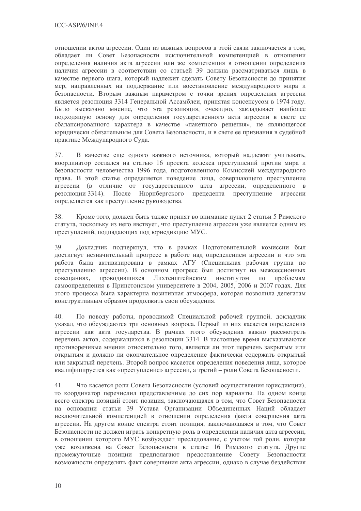отношении актов агрессии. Один из важных вопросов в этой связи заключается в том, обладает ли Совет Безопасности исключительной компетенцией в отношении определения наличия акта агрессии или же компетенция в отношении определения наличия агрессии в соответствии со статьей 39 должна рассматриваться лишь в качестве первого шага, который надлежит сделать Совету Безопасности до принятия мер, направленных на поддержание или восстановление международного мира и безопасности. Вторым важным параметром с точки зрения определения агрессии является резолюция 3314 Генеральной Ассамблеи, принятая консенсусом в 1974 году. Было высказано мнение, что эта резолюция, очевидно, закладывает наиболее подходящую основу для определения государственного акта агрессии в свете ее сбалансированного характера в качестве «пакетного решения», не являющегося юридически обязательным для Совета Безопасности, и в свете ее признания в судебной практике Международного Суда.

37. В качестве еще одного важного источника, который надлежит учитывать, координатор сослался на статью 16 проекта кодекса преступлений против мира и безопасности человечества 1996 года, подготовленного Комиссией международного права. В этой статье определяется поведение лица, совершающего преступление агрессии (в отличие от государственного акта агрессии, определенного в резолюции 3314). После Нюрнбергского прецедента преступление агрессии определяется как преступление руководства.

Кроме того, должен быть также принят во внимание пункт 2 статьи 5 Римского 38. статута, поскольку из него явствует, что преступление агрессии уже является одним из преступлений, подпадающих под юрисликцию МУС.

Докладчик подчеркнул, что в рамках Подготовительной комиссии был 39. достигнут незначительный прогресс в работе над определением агрессии и что эта работа была активизирована в рамках АГУ (Специальная рабочая группа по преступлению агрессии). В основном прогресс был достигнут на межеессионных совещаниях, проводившихся Лихтенштейнским институтом по проблемам самоопределения в Принстонском университете в 2004, 2005, 2006 и 2007 годах. Для этого процесса была характерна позитивная атмосфера, которая позволила делегатам конструктивным образом продолжить свои обсуждения.

 $40.$ По поводу работы, проводимой Специальной рабочей группой, докладчик указал, что обсуждаются три основных вопроса. Первый из них касается определения агрессии как акта государства. В рамках этого обсуждения важно рассмотреть перечень актов, содержащихся в резолюции 3314. В настоящее время высказываются противоречивые мнения относительно того, является ли этот перечень закрытым или открытым и должно ли окончательное определение фактически содержать открытый или закрытый перечень. Второй вопрос касается определения поведения лица, которое квалифицируется как «преступление» агрессии, а третий – роли Совета Безопасности.

 $41.$ Что касается роли Совета Безопасности (условий осуществления юрисдикции), то координатор перечислил представленные до сих пор варианты. На одном конце всего спектра позиций стоит позиция, заключающаяся в том, что Совет Безопасности на основании статьи 39 Устава Организации Объединенных Наций обладает исключительной компетенцией в отношении определения факта совершения акта агрессии. На другом конце спектра стоит позиция, заключающаяся в том, что Совет Безопасности не должен играть конкретную роль в определении наличия акта агрессии, в отношении которого МУС возбуждает преследование, с учетом той роли, которая уже возложена на Совет Безопасности в статье 16 Римского статута. Другие промежуточные позиции предполагают предоставление Совету Безопасности возможности определять факт совершения акта агрессии, однако в случае бездействия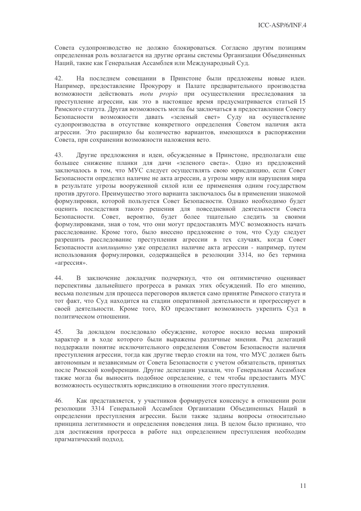Совета судопроизводство не должно блокироваться. Согласно другим позициям определенная роль возлагается на другие органы системы Организации Объединенных Наций, такие как Генеральная Ассамблея или Международный Суд.

42. На последнем совещании в Принстоне были предложены новые идеи. Например, предоставление Прокурору и Палате предварительного производства возможности действовать motu propio при осуществлении преследования за преступление агрессии, как это в настоящее время предусматривается статьей 15 Римского статута. Другая возможность могла бы заключаться в предоставлении Совету Безопасности возможности давать «зеленый свет» Суду на осуществление судопроизводства в отсутствие конкретного определения Советом наличия акта агрессии. Это расширило бы количество вариантов, имеющихся в распоряжении Совета, при сохранении возможности наложения вето.

43. Другие предложения и идеи, обсужденные в Принстоне, предполагали еще большее снижение планки для дачи «зеленого света». Одно из предложений заключалось в том, что МУС следует осуществлять свою юрисдикцию, если Совет Безопасности определил наличие не акта агрессии, а угрозы миру или нарушения мира в результате угрозы вооруженной силой или ее применения одним государством против другого. Преимущество этого варианта заключалось бы в применении знакомой формулировки, которой пользуется Совет Безопасности. Однако необходимо будет оценить последствия такого решения для повседневной деятельности Совета Безопасности. Совет, вероятно, будет более тщательно следить за своими формулировками, зная о том, что они могут предоставлять МУС возможность начать расследование. Кроме того, было внесено предложение о том, что Суду следует разрешить расследование преступления агрессии в тех случаях, когда Совет Безопасности имплицитно уже определил наличие акта агрессии - например, путем использования формулировки, содержащейся в резолюции 3314, но без термина «агрессия».

В заключение докладчик подчеркнул, что он оптимистично оценивает 44. перспективы дальнейшего прогресса в рамках этих обсуждений. По его мнению, весьма полезным для процесса переговоров является само принятие Римского статута и тот факт, что Суд находится на стадии оперативной деятельности и прогрессирует в своей деятельности. Кроме того, КО предоставит возможность укрепить Суд в политическом отношении.

45. За докладом последовало обсуждение, которое носило весьма широкий характер и в ходе которого были выражены различные мнения. Ряд делегаций поддержали понятие исключительного определения Советом Безопасности наличия преступления агрессии, тогда как другие твердо стояли на том, что МУС должен быть автономным и независимым от Совета Безопасности с учетом обязательств, принятых после Римской конференции. Другие делегации указали, что Генеральная Ассамблея также могла бы выносить подобное определение, с тем чтобы предоставить МУС возможность осуществлять юрисдикцию в отношении этого преступления.

46. Как представляется, у участников формируется консенсус в отношении роли резолюции 3314 Генеральной Ассамблеи Организации Объединенных Наций в определении преступления агрессии. Были также заданы вопросы относительно принципа легитимности и определения поведения лица. В целом было признано, что для достижения прогресса в работе над определением преступления необходим прагматический подход.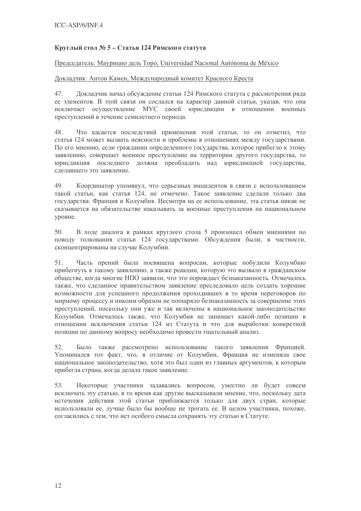### Круглый стол № 5 – Статья 124 Римского статута

### Председатель: Маурицио дель Торо, Universidad Nacional Autónoma de México

### Докладчик: Антон Камен, Международный комитет Красного Креста

Докладчик начал обсуждение статьи 124 Римского статута с рассмотрения ряда 47. ее элементов. В этой связи он сослался на характер данной статьи, указав, что она исключает осуществление МУС своей юрисдикции в отношении военных преступлений в течение семилетнего периода.

48. Что касается последствий применения этой статьи, то он отметил, что статья 124 может вызвать неясности и проблемы в отношениях между государствами. По его мнению, если гражданин определенного государства, которое прибегло к этому заявлению, совершает военное преступление на территории другого государства, то юрисдикция последнего должна преобладать над юрисдикцией государства, слелавшего это заявление.

49. Координатор упомянул, что серьезных инцидентов в связи с использованием такой статьи, как статья 124, не отмечено. Такое заявление сделали только два государства: Франция и Колумбия. Несмотря на ее использование, эта статья никак не сказывается на обязательстве наказывать за военные преступления на национальном уровне.

 $50<sub>1</sub>$ В холе лиалога в рамках круглого стола 5 произошел обмен мнениями по поводу толкования статьи 124 государствами. Обсуждения были, в частности, сконцентрированы на случае Колумбии.

 $51.$ Часть прений была посвящена вопросам, которые побудили Колумбию прибегнуть к такому заявлению, а также реакции, которую это вызвало в гражданском обществе, когда многие НПО заявили, что это порождает безнаказанность. Отмечалось также, что сделанное правительством заявление преследовало цель создать хорошие возможности для успешного продолжения проходивших в то время переговоров по мирному процессу и никоим образом не поощряло безнаказанность за совершение этих преступлений, поскольку они уже и так включены в национальное законодательство Колумбии. Отмечалось также, что Колумбия не занимает какой-либо позиции в отношении исключения статьи 124 из Статута и что для выработки конкретной позиции по данному вопросу необходимо провести тщательный анализ.

Было также рассмотрено использование такого заявления Францией. 52. Упоминался тот факт, что, в отличие от Колумбии, Франция не изменяла свое национальное законодательство, хотя это был один из главных аргументов, к которым прибегла страна, когда делала такое заявление.

53. Некоторые участники задавались вопросом, уместно ли будет совсем исключать эту статью, в то время как другие высказывали мнение, что, поскольку дата истечения действия этой статьи приближается только для двух стран, которые использовали ее, лучше было бы вообще не трогать ее. В целом участники, похоже, согласились с тем, что нет особого смысла сохранять эту статью в Статуте.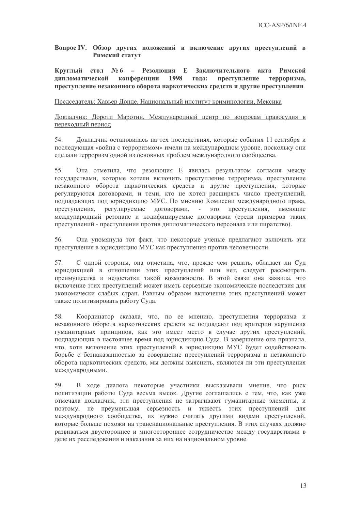Вопрос IV. Обзор других положений и включение других преступлений в Римский статут

Круглый стол №6 - Резолюция Е Заключительного акта Римской липломатической конференции 1998 гола: преступление терроризма. преступление незаконного оборота наркотических средств и другие преступления

### Председатель: Хавьер Донде, Национальный институт криминологии, Мексика

Докладчик: Дороти Маротин, Международный центр по вопросам правосудия в переходный период

54. Докладчик остановилась на тех последствиях, которые события 11 сентября и последующая «война с терроризмом» имели на международном уровне, поскольку они сделали терроризм одной из основных проблем международного сообщества.

55. Она отметила, что резолюция Е явилась результатом согласия между государствами, которые хотели включить преступление терроризма, преступление незаконного оборота наркотических средств и другие преступления, которые регулируются договорами, и теми, кто не хотел расширять число преступлений, подпадающих под юрисдикцию МУС. По мнению Комиссии международного права, преступления, регулируемые договорами,  $\sim$ ЭТО преступления, имеющие международный резонанс и кодифицируемые договорами (среди примеров таких преступлений - преступления против дипломатического персонала или пиратство).

56. Она упомянула тот факт, что некоторые ученые предлагают включить эти преступления в юрисдикцию МУС как преступления против человечности.

С одной стороны, она отметила, что, прежде чем решать, обладает ли Суд 57. юрисдикцией в отношении этих преступлений или нет, следует рассмотреть преимущества и недостатки такой возможности. В этой связи она заявила, что включение этих преступлений может иметь серьезные экономические последствия для экономически слабых стран. Равным образом включение этих преступлений может также политизировать работу Суда.

58. Координатор сказала, что, по ее мнению, преступления терроризма и незаконного оборота наркотических средств не подпадают под критерии нарушения гуманитарных принципов, как это имеет место в случае других преступлений, подпадающих в настоящее время под юрисдикцию Суда. В завершение она признала, что, хотя включение этих преступлений в юрисдикцию МУС будет содействовать борьбе с безнаказанностью за совершение преступлений терроризма и незаконного оборота наркотических средств, мы должны выяснить, являются ли эти преступления международными.

59. В ходе диалога некоторые участники высказывали мнение, что риск политизации работы Суда весьма высок. Другие соглашались с тем, что, как уже отмечала докладчик, эти преступления не затрагивают гуманитарные элементы, и поэтому, не преуменьшая серьезность и тяжесть этих преступлений для международного сообщества, их нужно считать другими видами преступлений, которые больше похожи на транснациональные преступления. В этих случаях должно развиваться двустороннее и многостороннее сотрудничество между государствами в деле их расследования и наказания за них на национальном уровне.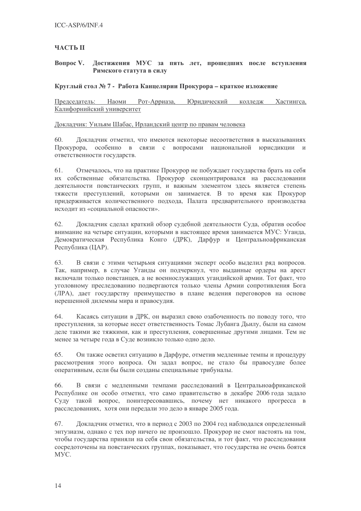### **ЧАСТЬ II**

#### **Вопрос V.** Достижения МУС за пять лет, прошедших после вступления Римского статута в силу

### Круглый стол № 7 - Работа Канцелярии Прокурора – краткое изложение

Председатель: Наоми Рот-Арриаза, Юридический колледж Хастингса, Калифорнийский университет

Докладчик: Уильям Шабас, Ирландский центр по правам человека

60. Докладчик отметил, что имеются некоторые несоответствия в высказываниях Прокурора, особенно в связи с вопросами национальной юрисдикции и ответственности государств.

 $61.$ Отмечалось, что на практике Прокурор не побуждает государства брать на себя их собственные обязательства. Прокурор сконцентрировался на расследовании деятельности повстанческих групп, и важным элементом здесь является степень тяжести преступлений, которыми он занимается. В то время как Прокурор придерживается количественного подхода, Палата предварительного производства исходит из «социальной опасности».

62. Докладчик сделал краткий обзор судебной деятельности Суда, обратив особое внимание на четыре ситуации, которыми в настоящее время занимается МУС: Уганда, Демократическая Республика Конго (ДРК), Дарфур и Центральноафриканская Республика (ЦАР).

В связи с этими четырьмя ситуациями эксперт особо выделил ряд вопросов. 63. Так, например, в случае Уганды он подчеркнул, что выданные ордеры на арест включали только повстанцев, а не военнослужащих угандийской армии. Тот факт, что уголовному преследованию подвергаются только члены Армии сопротивления Бога (ЛРА), дает государству преимущество в плане ведения переговоров на основе нерешенной дилеммы мира и правосудия.

64. Касаясь ситуации в ДРК, он выразил свою озабоченность по поводу того, что преступления, за которые несет ответственность Томас Лубанга Дьилу, были на самом деле такими же тяжкими, как и преступления, совершенные другими лицами. Тем не менее за четыре года в Суде возникло только одно дело.

Он также осветил ситуацию в Дарфуре, отметив медленные темпы и процедуру 65. рассмотрения этого вопроса. Он задал вопрос, не стало бы правосудие более оперативным, если бы были созданы специальные трибуналы.

В связи с медленными темпами расследований в Центральноафриканской 66. Республике он особо отметил, что само правительство в декабре 2006 года задало Суду такой вопрос, поинтересовавшись, почему нет никакого прогресса в расследованиях, хотя они передали это дело в январе 2005 года.

Докладчик отметил, что в период с 2003 по 2004 год наблюдался определенный 67. энтузиазм, однако с тех пор ничего не произошло. Прокурор не смог настоять на том, чтобы государства приняли на себя свои обязательства, и тот факт, что расследования сосредоточены на повстанческих группах, показывает, что государства не очень боятся MYC.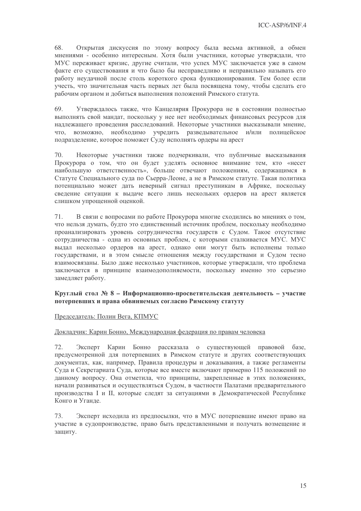68. Открытая дискуссия по этому вопросу была весьма активной, а обмен мнениями - особенно интересным. Хотя были участники, которые утверждали, что МУС переживает кризис, другие считали, что успех МУС заключается уже в самом факте его существования и что было бы несправедливо и неправильно называть его работу неудачной после столь короткого срока функционирования. Тем более если учесть, что значительная часть первых лет была посвящена тому, чтобы сделать его рабочим органом и добиться выполнения положений Римского статута.

69. Утверждалось также, что Канцелярия Прокурора не в состоянии полностью выполнять свой мандат, поскольку у нее нет необходимых финансовых ресурсов для надлежащего проведения расследований. Некоторые участники высказывали мнение, возможно, необходимо учредить разведывательное и/или полицейское ЧTO. подразделение, которое поможет Суду исполнять ордеры на арест

70. Некоторые участники также подчеркивали, что публичные высказывания Прокурора о том, что он будет уделять основное внимание тем, кто «несет наибольшую ответственность», больше отвечают положениям, содержащимся в Статуте Специального суда по Сьерра-Леоне, а не в Римском статуте. Такая политика потенциально может дать неверный сигнал преступникам в Африке, поскольку сведение ситуации к выдаче всего лишь нескольких ордеров на арест является слишком упрощенной оценкой.

В связи с вопросами по работе Прокурора многие сходились во мнениях о том, 71. что нельзя думать, будто это единственный источник проблем, поскольку необходимо проанализировать уровень сотрудничества государств с Судом. Такое отсутствие сотрудничества - одна из основных проблем, с которыми сталкивается МУС. МУС выдал несколько ордеров на арест, однако они могут быть исполнены только государствами, и в этом смысле отношения между государствами и Судом тесно взаимосвязаны. Было даже несколько участников, которые утверждали, что проблема заключается в принципе взаимодополняемости, поскольку именно это серьезно замедляет работу.

### Круглый стол № 8 - Информационно-просветительская деятельность - участие потерпевших и права обвиняемых согласно Римскому статуту

### Председатель: Полин Вега, КПМУС

### Докладчик: Карин Бонно, Международная федерация по правам человека

Эксперт Карин Бонно рассказала о существующей правовой базе, 72. предусмотренной для потерпевших в Римском статуте и других соответствующих документах, как, например, Правила процедуры и доказывания, а также регламенты Суда и Секретариата Суда, которые все вместе включают примерно 115 положений по данному вопросу. Она отметила, что принципы, закрепленные в этих положениях, начали развиваться и осуществляться Судом, в частности Палатами предварительного производства I и II, которые следят за ситуациями в Демократической Республике Конго и Уганде.

Эксперт исходила из предпосылки, что в МУС потерпевшие имеют право на 73 участие в судопроизводстве, право быть представленными и получать возмещение и защиту.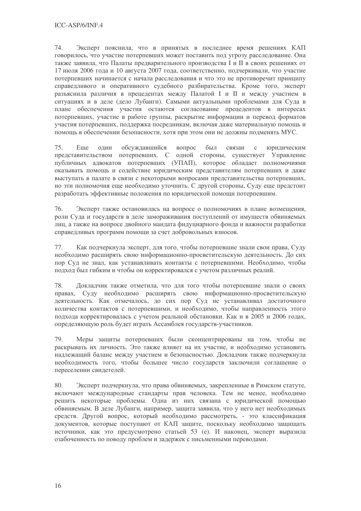74. Эксперт пояснила, что в принятых в последнее время решениях КАП говорилось, что участие потерпевших может поставить под угрозу расследование. Она также заявила, что Палаты предварительного производства I и II в своих решениях от 17 июля 2006 года и 10 августа 2007 года, соответственно, подчеркивали, что участие потерпевших начинается с начала расследования и что это не противоречит принципу справедливого и оперативного судебного разбирательства. Кроме того, эксперт разъяснила различия в прецедентах между Палатой I и II и между участием в ситуациях и в деле (дело Лубанги). Самыми актуальными проблемами для Суда в плане обеспечения участия остаются согласование прецедентов в интересах потерпевших, участие в работе группы, раскрытие информации и перевод форматов участия потерпевших, поддержка посредникам, включая даже материальную помощь и помощь в обеспечении безопасности, хотя при этом они не должны подменять МУС.

75. Еще ОДИН обсуждавшийся вопрос был связан  $\mathbf{c}$ юридическим представительством потерпевших. С одной стороны, существует Управление публичных адвокатов потерпевших (УПАП), которое обладает полномочиями оказывать помошь и солействие юрилическим прелставителям потерпевших и лаже выступать в палате в связи с некоторыми вопросами представительства потерпевших, но эти полномочия еще необходимо уточнить. С другой стороны, Суду еще предстоит разработать эффективные положения по юридической помощи потерпевшим.

76. Эксперт также остановилась на вопросе о полномочиях в плане возмещения, роли Суда и государств в деле замораживания поступлений от имуществ обвиняемых лиц, а также на вопросе двойного мандата фидуциарного фонда и важности разработки справедливых программ помощи за счет добровольных взносов.

77. Как подчеркнула эксперт, для того, чтобы потерпевшие знали свои права, Суду необходимо расширять свою информационно-просветительскую деятельность. До сих пор Суд не знал, как устанавливать контакты с потерпевшими. Необходимо, чтобы подход был гибким и чтобы он корректировался с учетом различных реалий.

Докладчик также отметила, что для того чтобы потерпевшие знали о своих 78. правах, Суду необходимо расширять свою информационно-просветительскую деятельность. Как отмечалось, до сих пор Суд не устанавливал достаточного количества контактов с потерпевшими, и необходимо, чтобы направленность этого подхода корректировалась с учетом реальной обстановки. Как и в 2005 и 2006 годах, определяющую роль будет играть Ассамблея государств-участников.

79. Меры защиты потерпевших были сконцентрированы на том, чтобы не раскрывать их личность. Это также влияет на их участие, и необходимо установить надлежащий баланс между участием и безопасностью. Докладчик также подчеркнула необходимость того, чтобы большее число государств заключили соглашение о переселении свидетелей.

80. Эксперт подчеркнула, что права обвиняемых, закрепленные в Римском статуте, включают международные стандарты прав человека. Тем не менее, необходимо решить некоторые проблемы. Одна из них связана с юридической помощью обвиняемым. В деле Лубанги, например, защита заявила, что у него нет необходимых средств. Другой вопрос, который необходимо рассмотреть, - это классификация документов, которые поступают от КАП защите, поскольку необходимо защищать источники, как это предусмотрено статьей 53 (е). И наконец, эксперт выразила озабоченность по поводу проблем и задержек с письменными переводами.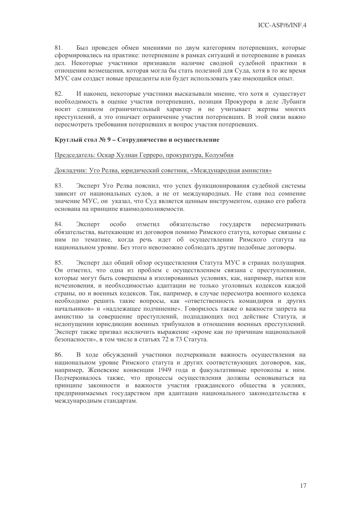81. Был проведен обмен мнениями по двум категориям потерпевших, которые сформировались на практике: потерпевшие в рамках ситуаций и потерпевшие в рамках дел. Некоторые участники признавали наличие сводной судебной практики в отношении возмещения, которая могла бы стать полезной для Суда, хотя в то же время МУС сам создаст новые прецеденты или будет использовать уже имеющийся опыт.

82. И наконец, некоторые участники высказывали мнение, что хотя и существует необходимость в оценке участия потерпевших, позиция Прокурора в деле Лубанги носит слишком ограничительный характер и не учитывает жертвы многих преступлений, а это означает ограничение участия потерпевших. В этой связи важно пересмотреть требования потерпевших и вопрос участия потерпевших.

### Круглый стол № 9 - Сотрудничество и осуществление

### Председатель: Оскар Хулиан Герреро, прокуратура, Колумбия

### Локладчик: Уго Релва, юридический советник, «Международная амнистия»

83. Эксперт Уго Релва пояснил, что успех функционирования судебной системы зависит от национальных судов, а не от международных. Не ставя под сомнение значение МУС, он указал, что Суд является ценным инструментом, однако его работа основана на принципе взаимодополняемости.

84. особо отметил обязательство Эксперт государств пересматривать обязательства, вытекающие из договоров помимо Римского статута, которые связаны с ним по тематике, когда речь идет об осуществлении Римского статута на национальном уровне. Без этого невозможно соблюдать другие подобные договоры.

85. Эксперт дал общий обзор осуществления Статута МУС в странах полушария. Он отметил, что одна из проблем с осуществлением связана с преступлениями, которые могут быть совершены в изолированных условиях, как, например, пытки или исчезновения, и необходимостью адаптации не только уголовных кодексов каждой страны, но и военных кодексов. Так, например, в случае пересмотра военного кодекса необходимо решить такие вопросы, как «ответственность командиров и других начальников» и «надлежащее подчинение». Говорилось также о важности запрета на амнистию за совершение преступлений, подпадающих под действие Статута, и недопущении юрисдикции военных трибуналов в отношении военных преступлений. Эксперт также призвал исключить выражение «кроме как по причинам национальной безопасности», в том числе в статьях 72 и 73 Статута.

В ходе обсуждений участники подчеркивали важность осуществления на 86. национальном уровне Римского статута и других соответствующих договоров, как, например, Женевские конвенции 1949 года и факультативные протоколы к ним. Подчеркивалось также, что процессы осуществления должны основываться на принципе законности и важности участия гражданского общества в усилиях, предпринимаемых государством при адаптации национального законодательства к международным стандартам.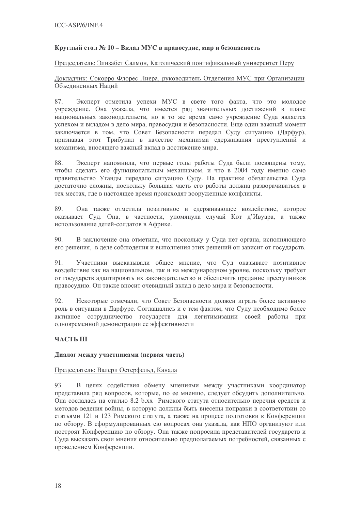### Круглый стол № 10 – Вклад МУС в правосудие, мир и безопасность

### Председатель: Элизабет Салмон, Католический понтификальный университет Перу

### Докладчик: Сокорро Флорес Лиера, руководитель Отделения МУС при Организации Объединенных Наций

Эксперт отметила успехи МУС в свете того факта, что это молодое 87. учреждение. Она указала, что имеется ряд значительных достижений в плане национальных законодательств, но в то же время само учреждение Суда является успехом и вкладом в дело мира, правосудия и безопасности. Еще один важный момент заключается в том, что Совет Безопасности передал Суду ситуацию (Дарфур), признавая этот Трибунал в качестве механизма сдерживания преступлений и механизма, вносящего важный вклад в достижение мира.

Эксперт напомнила, что первые годы работы Суда были посвящены тому, 88. чтобы слелать его функциональным механизмом, и что в 2004 году именно само правительство Уганды передало ситуацию Суду. На практике обязательства Суда достаточно сложны, поскольку большая часть его работы должна разворачиваться в тех местах, где в настоящее время происходят вооруженные конфликты.

89. Она также отметила позитивное и сдерживающее воздействие, которое оказывает Суд. Она, в частности, упомянула случай Кот д'Ивуара, а также использование детей-солдатов в Африке.

 $90.$ В заключение она отметила, что поскольку у Суда нет органа, исполняющего его решения, в деле соблюдения и выполнения этих решений он зависит от государств.

91. Участники высказывали общее мнение, что Суд оказывает позитивное воздействие как на национальном, так и на международном уровне, поскольку требует от государств адаптировать их законодательство и обеспечить предание преступников правосудию. Он также вносит очевидный вклад в дело мира и безопасности.

Некоторые отмечали, что Совет Безопасности должен играть более активную 92. роль в ситуации в Дарфуре. Соглашались и с тем фактом, что Суду необходимо более активное сотрудничество государств для легитимизации своей работы при одновременной демонстрации ее эффективности

### **ЧАСТЬ III**

### Диалог между участниками (первая часть)

### Председатель: Валери Остерфельд, Канада

93. В целях содействия обмену мнениями между участниками координатор представила ряд вопросов, которые, по ее мнению, следует обсудить дополнительно. Она сослалась на статью 8.2 b.xx Римского статута относительно перечня средств и методов ведения войны, в которую должны быть внесены поправки в соответствии со статьями 121 и 123 Римского статута, а также на процесс подготовки к Конференции по обзору. В сформулированных ею вопросах она указала, как НПО организуют или построят Конференцию по обзору. Она также попросила представителей государств и Суда высказать свои мнения относительно предполагаемых потребностей, связанных с проведением Конференции.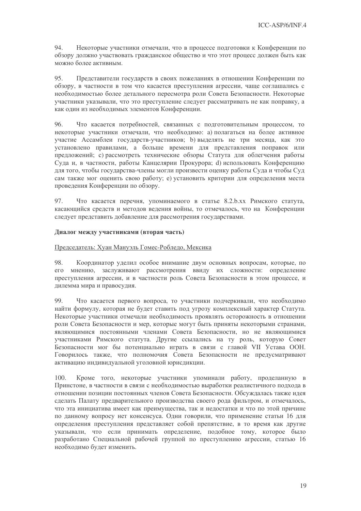94. Некоторые участники отмечали, что в процессе подготовки к Конференции по обзору должно участвовать гражданское общество и что этот процесс должен быть как можно более активным.

 $95^{\circ}$ Представители государств в своих пожеланиях в отношении Конференции по обзору, в частности в том что касается преступления агрессии, чаще соглашались с необходимостью более детального пересмотра роли Совета Безопасности. Некоторые участники указывали, что это преступление следует рассматривать не как поправку, а как один из необходимых элементов Конференции.

96 Что касается потребностей, связанных с подготовительным процессом, то некоторые участники отмечали, что необходимо: а) полагаться на более активное участие Ассамблеи государств-участников; b) выделять не три месяца, как это установлено правилами, а больше времени для представления поправок или предложений; с) рассмотреть технические обзоры Статута для облегчения работы Суда и, в частности, работы Канцелярии Прокурора; d) использовать Конференцию лля того, чтобы государства-члены могли произвести оценку работы Суда и чтобы Суд сам также мог оценить свою работу; е) установить критерии для определения места проведения Конференции по обзору.

97. Что касается перечня, упоминаемого в статье 8.2.b.xx Римского статута, касающийся средств и методов ведения войны, то отмечалось, что на Конференции следует представить добавление для рассмотрения государствами.

### Диалог между участниками (вторая часть)

### Председатель: Хуан Мануэль Гомес-Робледо, Мексика

98. Координатор уделил особое внимание двум основных вопросам, которые, по его мнению, заслуживают рассмотрения ввиду их сложности: определение преступления агрессии, и в частности роль Совета Безопасности в этом процессе, и дилемма мира и правосудия.

 $QQ$ Что касается первого вопроса, то участники подчеркивали, что необходимо найти формулу, которая не будет ставить под угрозу комплексный характер Статута. Некоторые участники отмечали необходимость проявлять осторожность в отношении роли Совета Безопасности и мер, которые могут быть приняты некоторыми странами, являющимися постоянными членами Совета Безопасности, но не являющимися участниками Римского статута. Другие ссылались на ту роль, которую Совет Безопасности мог бы потенциально играть в связи с главой VII Устава ООН. Говорилось также, что полномочия Совета Безопасности не предусматривают активацию индивидуальной уголовной юрисдикции.

Кроме того, некоторые участники упоминали работу, проделанную в 100. Принстоне, в частности в связи с необходимостью выработки реалистичного подхода в отношении позиции постоянных членов Совета Безопасности. Обсуждалась также идея сделать Палату предварительного производства своего рода фильтром, и отмечалось, что эта инициатива имеет как преимущества, так и недостатки и что по этой причине по данному вопросу нет консенсуса. Одни говорили, что применение статьи 16 для определения преступления представляет собой препятствие, в то время как другие указывали, что если принимать определение, подобное тому, которое было разработано Специальной рабочей группой по преступлению агрессии, статью 16 необходимо будет изменить.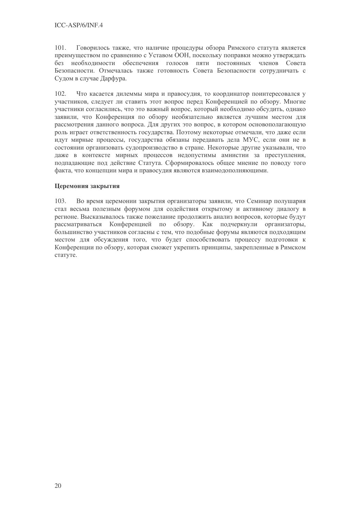101. Говорилось также, что наличие процедуры обзора Римского статута является преимуществом по сравнению с Уставом ООН, поскольку поправки можно утверждать без необходимости обеспечения голосов пяти постоянных членов Совета Безопасности. Отмечалась также готовность Совета Безопасности сотрудничать с Судом в случае Дарфура.

 $102<sub>1</sub>$ Что касается дилеммы мира и правосудия, то координатор поинтересовался у участников, следует ли ставить этот вопрос перед Конференцией по обзору. Многие участники согласились, что это важный вопрос, который необходимо обсудить, однако заявили, что Конференция по обзору необязательно является лучшим местом для рассмотрения данного вопроса. Для других это вопрос, в котором основополагающую роль играет ответственность государства. Поэтому некоторые отмечали, что даже если идут мирные процессы, государства обязаны передавать дела МУС, если они не в состоянии организовать судопроизводство в стране. Некоторые другие указывали, что даже в контексте мирных процессов недопустимы амнистии за преступления, подпадающие под действие Статута. Сформировалось общее мнение по поводу того факта, что концепции мира и правосудия являются взаимодополняющими.

### Перемония закрытия

Во время церемонии закрытия организаторы заявили, что Семинар полушария  $103.$ стал весьма полезным форумом для содействия открытому и активному диалогу в регионе. Высказывалось также пожелание продолжить анализ вопросов, которые будут рассматриваться Конференцией по обзору. Как подчеркнули организаторы, большинство участников согласны с тем, что подобные форумы являются подходящим местом для обсуждения того, что будет способствовать процессу подготовки к Конференции по обзору, которая сможет укрепить принципы, закрепленные в Римском статуте.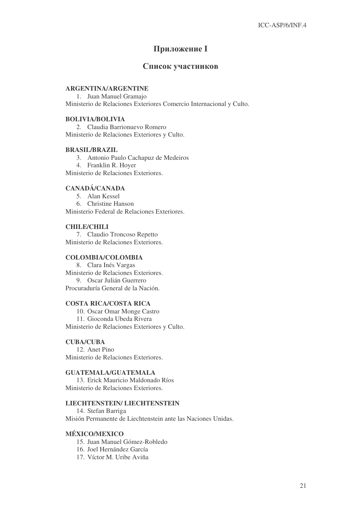## Приложение I

### Список участников

### **ARGENTINA/ARGENTINE**

1. Juan Manuel Gramajo Ministerio de Relaciones Exteriores Comercio Internacional y Culto.

### **BOLIVIA/BOLIVIA**

2. Claudia Barrionuevo Romero Ministerio de Relaciones Exteriores y Culto.

### **BRASIL/BRAZIL**

3. Antonio Paulo Cachapuz de Medeiros 4. Franklin R. Hoyer

Ministerio de Relaciones Exteriores.

### **CANADÁ/CANADA**

5. Alan Kessel 6. Christine Hanson Ministerio Federal de Relaciones Exteriores.

### **CHILE/CHILI**

7. Claudio Troncoso Repetto Ministerio de Relaciones Exteriores.

### **COLOMBIA/COLOMBIA**

8. Clara Inés Vargas Ministerio de Relaciones Exteriores. 9. Oscar Julián Guerrero Procuraduría General de la Nación.

### **COSTA RICA/COSTA RICA**

10. Oscar Omar Monge Castro 11. Gioconda Ubeda Rivera Ministerio de Relaciones Exteriores y Culto.

### **CUBA/CUBA**

12. Anet Pino Ministerio de Relaciones Exteriores.

### **GUATEMALA/GUATEMALA**

13. Erick Mauricio Maldonado Ríos Ministerio de Relaciones Exteriores.

### **LIECHTENSTEIN/ LIECHTENSTEIN**

14. Stefan Barriga Misión Permanente de Liechtenstein ante las Naciones Unidas.

### **MÉXICO/MEXICO**

- 15. Juan Manuel Gómez-Robledo
- 16. Joel Hernández García
- 17. Víctor M. Uribe Aviña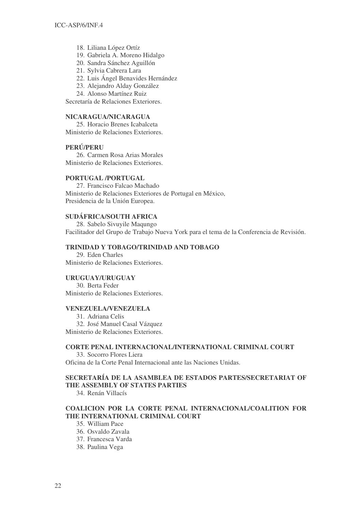- 18. Liliana López Ortíz
- 19. Gabriela A. Moreno Hidalgo
- 20. Sandra Sánchez Aguillón
- 21. Sylvia Cabrera Lara
- 22. Luis Ángel Benavides Hernández
- 23. Alejandro Alday González
- 24. Alonso Martínez Ruiz

Secretaría de Relaciones Exteriores.

### **NICARAGUA/NICARAGUA**

25. Horacio Brenes Icabalceta Ministerio de Relaciones Exteriores.

### **PERÚ/PERU**

26. Carmen Rosa Arias Morales Ministerio de Relaciones Exteriores.

### **PORTUGAL /PORTUGAL**

27. Francisco Falcao Machado Ministerio de Relaciones Exteriores de Portugal en México, Presidencia de la Unión Europea.

### **SUDÁFRICA/SOUTH AFRICA**

28. Sabelo Sivuyile Maqungo Facilitador del Grupo de Trabajo Nueva York para el tema de la Conferencia de Revisión.

### **TRINIDAD Y TOBAGO/TRINIDAD AND TOBAGO**

29. Eden Charles Ministerio de Relaciones Exteriores.

### **URUGUAY/URUGUAY**

30. Berta Feder Ministerio de Relaciones Exteriores.

### **VENEZUELA/VENEZUELA**

31. Adriana Celis 32. José Manuel Casal Vázquez Ministerio de Relaciones Exteriores.

### **CORTE PENAL INTERNACIONAL/INTERNATIONAL CRIMINAL COURT**

33. Socorro Flores Liera Oficina de la Corte Penal Internacional ante las Naciones Unidas.

### **SECRETARÍA DE LA ASAMBLEA DE ESTADOS PARTES/SECRETARIAT OF THE ASSEMBLY OF STATES PARTIES**

34. Renán Villacís

### **COALICION POR LA CORTE PENAL INTERNACIONAL/COALITION FOR THE INTERNATIONAL CRIMINAL COURT**

35. William Pace

36. Osvaldo Zavala

37. Francesca Varda

38. Paulina Vega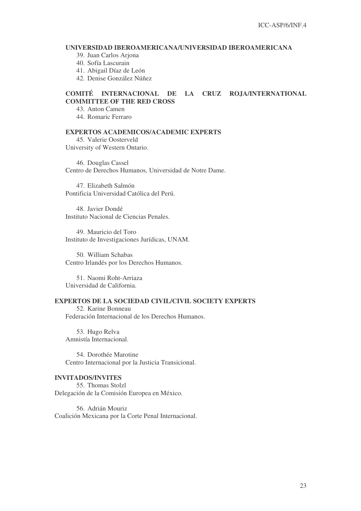### **UNIVERSIDAD IBEROAMERICANA/UNIVERSIDAD IBEROAMERICANA**

39. Juan Carlos Arjona

40. Sofía Lascurain

41. Abigail Díaz de León

42. Denise González Núñez

### **COMITÉ INTERNACIONAL DE LA CRUZ ROJA/INTERNATIONAL COMMITTEE OF THE RED CROSS**

43. Anton Camen

44. Romaric Ferraro

### **EXPERTOS ACADEMICOS/ACADEMIC EXPERTS**

45. Valerie Oosterveld University of Western Ontario.

46. Douglas Cassel Centro de Derechos Humanos, Universidad de Notre Dame.

47. Elizabeth Salmón Pontificia Universidad Católica del Perú.

48. Javier Dondé Instituto Nacional de Ciencias Penales.

49. Mauricio del Toro Instituto de Investigaciones Jurídicas, UNAM.

50. William Schabas Centro Irlandés por los Derechos Humanos.

51. Naomi Roht-Arriaza Universidad de California.

### **EXPERTOS DE LA SOCIEDAD CIVIL/CIVIL SOCIETY EXPERTS**

52. Karine Bonneau Federación Internacional de los Derechos Humanos.

53. Hugo Relva Amnistía Internacional.

54. Dorothée Marotine Centro Internacional por la Justicia Transicional.

### **INVITADOS/INVITES**

55. Thomas Stolzl Delegación de la Comisión Europea en México.

56. Adrián Mouriz Coalición Mexicana por la Corte Penal Internacional.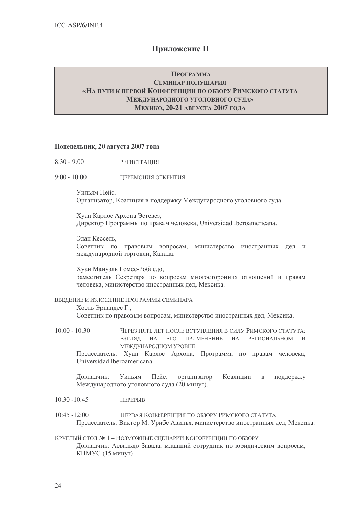## **Приложение II**

### ПРОГРАММА СЕМИНАР ПОЛУШАРИЯ «НА ПУТИ К ПЕРВОЙ КОНФЕРЕНЦИИ ПО ОБЗОРУ РИМСКОГО СТАТУТА **МЕЖЛУНАРОЛНОГО УГОЛОВНОГО СУЛА»** МЕХИКО, 20-21 АВГУСТА 2007 ГОДА

### Понедельник, 20 августа 2007 года

- $8:30 9:00$ РЕГИСТРАЦИЯ
- $9.00 10.00$ ШЕРЕМОНИЯ ОТКРЫТИЯ

Уильям Пейс. Организатор, Коалиция в поддержку Международного уголовного суда.

Хуан Карлос Архона Эстевез, Лиректор Программы по правам человека. Universidad Iberoamericana.

Элан Кессель.

Советник по правовым вопросам, министерство иностранных дел и международной торговли, Канада.

Хуан Мануэль Гомес-Робледо,

Заместитель Секретаря по вопросам многосторонних отношений и правам человека, министерство иностранных лел. Мексика.

### ВВЕЛЕНИЕ И ИЗЛОЖЕНИЕ ПРОГРАММЫ СЕМИНАРА

Хоель Эрнандес Г.,

Советник по правовым вопросам, министерство иностранных дел, Мексика.

 $10:00 - 10:30$ ЧЕРЕЗ ПЯТЬ ЛЕТ ПОСЛЕ ВСТУПЛЕНИЯ В СИЛУ РИМСКОГО СТАТУТА: ВЗГЛЯЛ НА ЕГО ПРИМЕНЕНИЕ НА РЕГИОНАЛЬНОМ И МЕЖДУНАРОДНОМ УРОВНЕ

Председатель: Хуан Карлос Архона, Программа по правам человека, Universidad Iberoamericana.

Уильям Пейс. Локлалчик: организатор Коалиции поддержку  $\mathbf{B}$ Международного уголовного суда (20 минут).

#### $10:30 - 10:45$ ПЕРЕРЫВ

 $10:45 - 12:00$ ПЕРВАЯ КОНФЕРЕНЦИЯ ПО ОБЗОРУ РИМСКОГО СТАТУТА Председатель: Виктор М. Урибе Авинья, министерство иностранных дел, Мексика.

КРУГЛЫЙ СТОЛ № 1 - ВОЗМОЖНЫЕ СЦЕНАРИИ КОНФЕРЕНЦИИ ПО ОБЗОРУ Докладчик: Асвальдо Завала, младший сотрудник по юридическим вопросам, КПМУС (15 минут).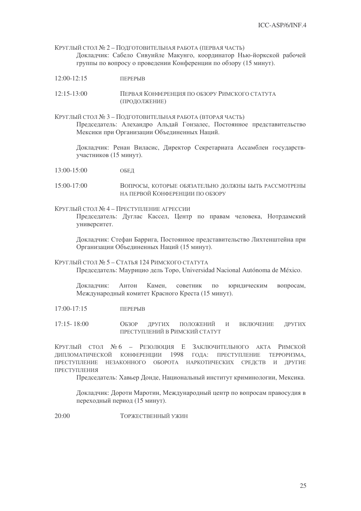КРУГЛЫЙ СТОЛ № 2 – ПОДГОТОВИТЕЛЬНАЯ РАБОТА (ПЕРВАЯ ЧАСТЬ) Докладчик: Сабело Сивуийле Макунго, координатор Нью-йоркской рабочей группы по вопросу о проведении Конференции по обзору (15 минут).

- $12:00-12:15$ **TEPEPLIR**
- $12:15 13:00$ ПЕРВАЯ КОНФЕРЕНЦИЯ ПО ОБЗОРУ РИМСКОГО СТАТУТА (ПРОДОЛЖЕНИЕ)
- КРУГЛЫЙ СТОЛ № 3 ПОДГОТОВИТЕЛЬНАЯ РАБОТА (ВТОРАЯ ЧАСТЬ) Председатель: Алехандро Альдай Гонзалес, Постоянное представительство Мексики при Организации Объединенных Наций.

Докладчик: Ренан Виласис, Директор Секретариата Ассамблеи государствучастников (15 минут).

- $13:00 15:00$ ОБЕЛ
- $15:00-17:00$ ВОПРОСЫ, КОТОРЫЕ ОБЯЗАТЕЛЬНО ЛОЛЖНЫ БЫТЬ РАССМОТРЕНЫ НА ПЕРВОЙ КОНФЕРЕНЦИИ ПО ОБЗОРУ
- КРУГЛЫЙ СТОЛ № 4 ПРЕСТУПЛЕНИЕ АГРЕССИИ

Председатель: Дуглас Кассел, Центр по правам человека, Нотрдамский университет.

Докладчик: Стефан Баррига, Постоянное представительство Лихтенштейна при Организации Объединенных Наций (15 минут).

КРУГЛЫЙ СТОЛ № 5-СТАТЬЯ 124 РИМСКОГО СТАТУТА Председатель: Маурицио дель Торо, Universidad Nacional Autónoma de México.

Антон Камен. советник  $\overline{10}$ Локлалчик: юрилическим вопросам. Международный комитет Красного Креста (15 минут).

 $17:00 - 17:15$ ПЕРЕРЫВ

 $17:15 - 18:00$  $O$ <sub>E3</sub>O<sub>P</sub> ЛРУГИХ положений и ВКЛЮЧЕНИЕ ДРУГИХ ПРЕСТУПЛЕНИЙ В РИМСКИЙ СТАТУТ

КРУГЛЫЙ СТОЛ №6 - РЕЗОЛЮЦИЯ Е ЗАКЛЮЧИТЕЛЬНОГО АКТА РИМСКОЙ ЛИПЛОМАТИЧЕСКОЙ КОНФЕРЕНЦИИ 1998 ГОЛА: ПРЕСТУПЛЕНИЕ ТЕРРОРИЗМА. ПРЕСТУПЛЕНИЕ НЕЗАКОННОГО ОБОРОТА НАРКОТИЧЕСКИХ СРЕДСТВ И ДРУГИЕ ПРЕСТУПЛЕНИЯ

Председатель: Хавьер Донде, Национальный институт криминологии, Мексика.

Докладчик: Дороти Маротин, Международный центр по вопросам правосудия в переходный период (15 минут).

 $20:00$ ТОРЖЕСТВЕННЫЙ УЖИН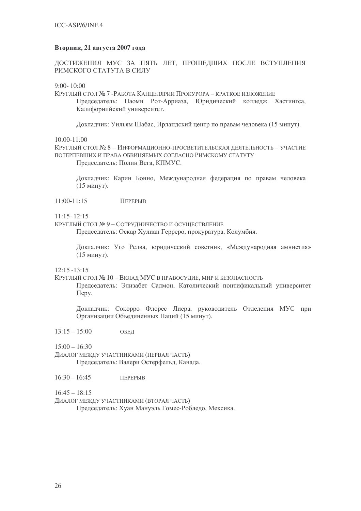### Вторник, 21 августа 2007 года

ДОСТИЖЕНИЯ МУС ЗА ПЯТЬ ЛЕТ, ПРОШЕДШИХ ПОСЛЕ ВСТУПЛЕНИЯ РИМСКОГО СТАТУТА В СИЛУ

 $9:00 - 10:00$ 

КРУГЛЫЙ СТОЛ № 7 - РАБОТА КАНЦЕЛЯРИИ ПРОКУРОРА - КРАТКОЕ ИЗЛОЖЕНИЕ Председатель: Наоми Рот-Арриаза, Юридический колледж Хастингса, Калифорнийский университет.

Докладчик: Уильям Шабас, Ирландский центр по правам человека (15 минут).

 $10:00 - 11:00$ 

КРУГЛЫЙ СТОЛ № 8 - ИНФОРМАЦИОННО-ПРОСВЕТИТЕЛЬСКАЯ ДЕЯТЕЛЬНОСТЬ - УЧАСТИЕ ПОТЕРПЕВШИХ И ПРАВА ОБВИНЯЕМЫХ СОГЛАСНО РИМСКОМУ СТАТУТУ Председатель: Полин Вега, КПМУС.

Докладчик: Карин Бонно, Международная федерация по правам человека (15 минут).

 $11:00-11:15$ ПЕРЕРЫВ

 $11:15 - 12:15$ 

КРУГЛЫЙ СТОЛ № 9 – СОТРУЛНИЧЕСТВО И ОСУШЕСТВЛЕНИЕ

Председатель: Оскар Хулиан Герреро, прокуратура, Колумбия.

Докладчик: Уго Релва, юридический советник, «Международная амнистия» (15 минут).

 $12.15 - 13.15$ 

КРУГЛЫЙ СТОЛ № 10 - ВКЛАЛ МУС В ПРАВОСУЛИЕ, МИР И БЕЗОПАСНОСТЬ

Председатель: Элизабет Салмон, Католический понтификальный университет  $\Gamma$ Tepy.

Докладчик: Сокорро Флорес Лиера, руководитель Отделения МУС при Организации Объединенных Наций (15 минут).

 $13:15 - 15:00$ ОБЕД

 $15:00 - 16:30$ 

ДИАЛОГ МЕЖДУ УЧАСТНИКАМИ (ПЕРВАЯ ЧАСТЬ) Председатель: Валери Остерфельд, Канада.

 $16:30 - 16:45$ ПЕРЕРЫВ

 $16:45 - 18:15$ 

ДИАЛОГ МЕЖДУ УЧАСТНИКАМИ (ВТОРАЯ ЧАСТЬ)

Председатель: Хуан Мануэль Гомес-Робледо, Мексика.